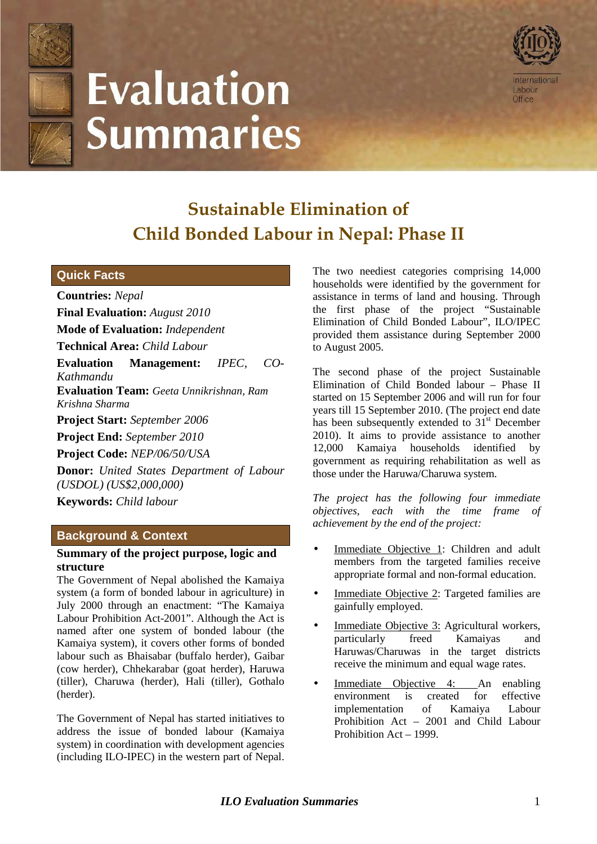

# **Evaluation Summaries**



## **Sustainable Elimination of Child Bonded Labour in Nepal: Phase II**

### **Quick Facts**

**Countries:** *Nepal*  **Final Evaluation:** *August 2010* **Mode of Evaluation:** *Independent* **Technical Area:** *Child Labour*

**Evaluation Management:** *IPEC, CO-*

*Kathmandu* 

**Evaluation Team:** *Geeta Unnikrishnan, Ram Krishna Sharma* 

**Project Start:** *September 2006*

**Project End:** *September 2010* 

**Project Code:** *NEP/06/50/USA*

**Donor:** *United States Department of Labour (USDOL) (US\$2,000,000)*

**Keywords:** *Child labour* 

### **Background & Context**

#### **Summary of the project purpose, logic and structure**

The Government of Nepal abolished the Kamaiya system (a form of bonded labour in agriculture) in July 2000 through an enactment: "The Kamaiya Labour Prohibition Act-2001". Although the Act is named after one system of bonded labour (the Kamaiya system), it covers other forms of bonded labour such as Bhaisabar (buffalo herder), Gaibar (cow herder), Chhekarabar (goat herder), Haruwa (tiller), Charuwa (herder), Hali (tiller), Gothalo (herder).

The Government of Nepal has started initiatives to address the issue of bonded labour (Kamaiya system) in coordination with development agencies (including ILO-IPEC) in the western part of Nepal.

The two neediest categories comprising 14,000 households were identified by the government for assistance in terms of land and housing. Through the first phase of the project "Sustainable Elimination of Child Bonded Labour", ILO/IPEC provided them assistance during September 2000 to August 2005.

The second phase of the project Sustainable Elimination of Child Bonded labour – Phase II started on 15 September 2006 and will run for four years till 15 September 2010. (The project end date has been subsequently extended to  $31<sup>st</sup>$  December 2010). It aims to provide assistance to another 12,000 Kamaiya households identified by government as requiring rehabilitation as well as those under the Haruwa/Charuwa system.

*The project has the following four immediate objectives, each with the time frame of achievement by the end of the project:* 

- Immediate Objective 1: Children and adult members from the targeted families receive appropriate formal and non-formal education.
- Immediate Objective 2: Targeted families are gainfully employed.
- Immediate Objective 3: Agricultural workers, particularly freed Kamaiyas and Haruwas/Charuwas in the target districts receive the minimum and equal wage rates.
- Immediate Objective 4: An enabling environment is created for effective implementation of Kamaiya Labour Prohibition Act – 2001 and Child Labour Prohibition Act – 1999.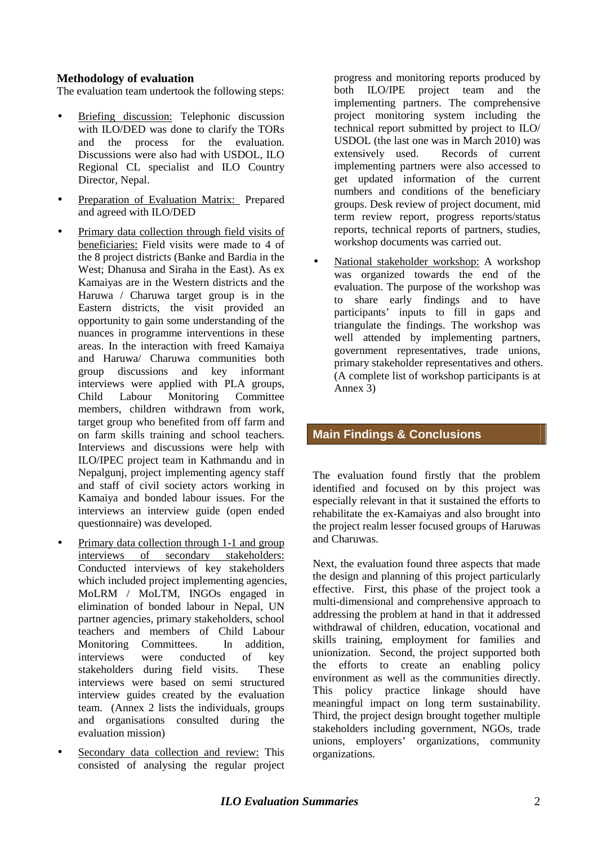#### **Methodology of evaluation**

The evaluation team undertook the following steps:

- Briefing discussion: Telephonic discussion with ILO/DED was done to clarify the TORs and the process for the evaluation. Discussions were also had with USDOL, ILO Regional CL specialist and ILO Country Director, Nepal.
- Preparation of Evaluation Matrix: Prepared and agreed with ILO/DED
- Primary data collection through field visits of beneficiaries: Field visits were made to 4 of the 8 project districts (Banke and Bardia in the West; Dhanusa and Siraha in the East). As ex Kamaiyas are in the Western districts and the Haruwa / Charuwa target group is in the Eastern districts, the visit provided an opportunity to gain some understanding of the nuances in programme interventions in these areas. In the interaction with freed Kamaiya and Haruwa/ Charuwa communities both group discussions and key informant interviews were applied with PLA groups, Child Labour Monitoring Committee members, children withdrawn from work target group who benefited from off farm and on farm skills training and school teachers. Interviews and discussions were help with ILO/IPEC project team in Kathmandu and in Nepalgunj, project implementing agency staff and staff of civil society actors working in Kamaiya and bonded labour issues. For the interviews an interview guide (open ended questionnaire) was developed.
- Primary data collection through 1-1 and group interviews of secondary stakeholders: Conducted interviews of key stakeholders which included project implementing agencies, MoLRM / MoLTM, INGOs engaged in elimination of bonded labour in Nepal, UN partner agencies, primary stakeholders, school teachers and members of Child Labour Monitoring Committees. In addition, interviews were conducted of key stakeholders during field visits. These interviews were based on semi structured interview guides created by the evaluation team. (Annex 2 lists the individuals, groups and organisations consulted during the evaluation mission)
- Secondary data collection and review: This consisted of analysing the regular project

progress and monitoring reports produced by both ILO/IPE project team and the implementing partners. The comprehensive project monitoring system including the technical report submitted by project to ILO/ USDOL (the last one was in March 2010) was extensively used. Records of current implementing partners were also accessed to get updated information of the current numbers and conditions of the beneficiary groups. Desk review of project document, mid term review report, progress reports/status reports, technical reports of partners, studies, workshop documents was carried out.

• National stakeholder workshop: A workshop was organized towards the end of the evaluation. The purpose of the workshop was to share early findings and to have participants' inputs to fill in gaps and triangulate the findings. The workshop was well attended by implementing partners, government representatives, trade unions, primary stakeholder representatives and others. (A complete list of workshop participants is at Annex 3)

### **Main Findings & Conclusions**

The evaluation found firstly that the problem identified and focused on by this project was especially relevant in that it sustained the efforts to rehabilitate the ex-Kamaiyas and also brought into the project realm lesser focused groups of Haruwas and Charuwas.

Next, the evaluation found three aspects that made the design and planning of this project particularly effective. First, this phase of the project took a multi-dimensional and comprehensive approach to addressing the problem at hand in that it addressed withdrawal of children, education, vocational and skills training, employment for families and unionization. Second, the project supported both the efforts to create an enabling policy environment as well as the communities directly. This policy practice linkage should have meaningful impact on long term sustainability. Third, the project design brought together multiple stakeholders including government, NGOs, trade unions, employers' organizations, community organizations.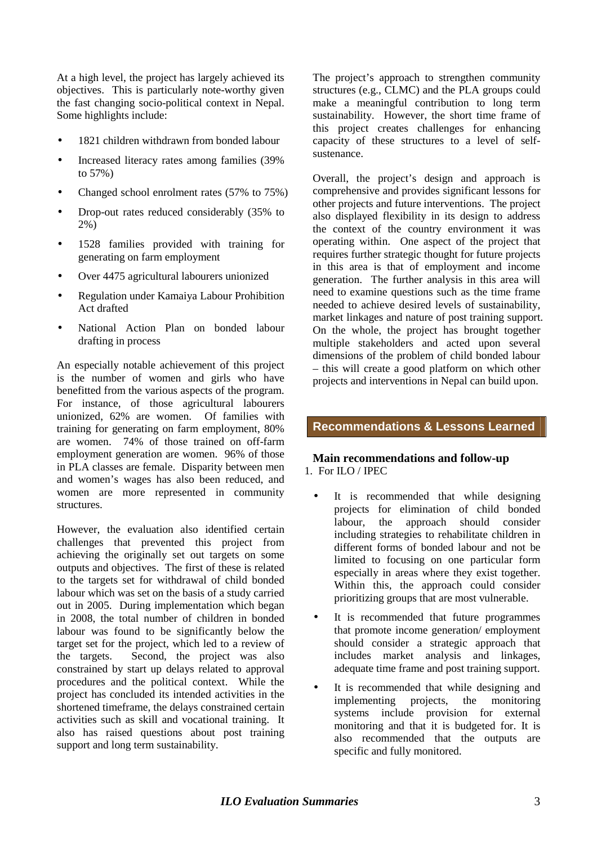At a high level, the project has largely achieved its objectives. This is particularly note-worthy given the fast changing socio-political context in Nepal. Some highlights include:

- 1821 children withdrawn from bonded labour
- Increased literacy rates among families (39%) to 57%)
- Changed school enrolment rates (57% to 75%)
- Drop-out rates reduced considerably (35% to 2%)
- 1528 families provided with training for generating on farm employment
- Over 4475 agricultural labourers unionized
- Regulation under Kamaiya Labour Prohibition Act drafted
- National Action Plan on bonded labour drafting in process

An especially notable achievement of this project is the number of women and girls who have benefitted from the various aspects of the program. For instance, of those agricultural labourers unionized, 62% are women. Of families with training for generating on farm employment, 80% are women. 74% of those trained on off-farm employment generation are women. 96% of those in PLA classes are female. Disparity between men and women's wages has also been reduced, and women are more represented in community structures.

However, the evaluation also identified certain challenges that prevented this project from achieving the originally set out targets on some outputs and objectives. The first of these is related to the targets set for withdrawal of child bonded labour which was set on the basis of a study carried out in 2005. During implementation which began in 2008, the total number of children in bonded labour was found to be significantly below the target set for the project, which led to a review of the targets. Second, the project was also constrained by start up delays related to approval procedures and the political context. While the project has concluded its intended activities in the shortened timeframe, the delays constrained certain activities such as skill and vocational training. It also has raised questions about post training support and long term sustainability.

The project's approach to strengthen community structures (e.g., CLMC) and the PLA groups could make a meaningful contribution to long term sustainability. However, the short time frame of this project creates challenges for enhancing capacity of these structures to a level of selfsustenance.

Overall, the project's design and approach is comprehensive and provides significant lessons for other projects and future interventions. The project also displayed flexibility in its design to address the context of the country environment it was operating within. One aspect of the project that requires further strategic thought for future projects in this area is that of employment and income generation. The further analysis in this area will need to examine questions such as the time frame needed to achieve desired levels of sustainability, market linkages and nature of post training support. On the whole, the project has brought together multiple stakeholders and acted upon several dimensions of the problem of child bonded labour – this will create a good platform on which other projects and interventions in Nepal can build upon.

#### **Recommendations & Lessons Learned**

#### **Main recommendations and follow-up**  1. For ILO / IPEC

- It is recommended that while designing projects for elimination of child bonded labour, the approach should consider including strategies to rehabilitate children in different forms of bonded labour and not be limited to focusing on one particular form especially in areas where they exist together. Within this, the approach could consider prioritizing groups that are most vulnerable.
- It is recommended that future programmes that promote income generation/ employment should consider a strategic approach that includes market analysis and linkages, adequate time frame and post training support.
- It is recommended that while designing and implementing projects, the monitoring systems include provision for external monitoring and that it is budgeted for. It is also recommended that the outputs are specific and fully monitored.